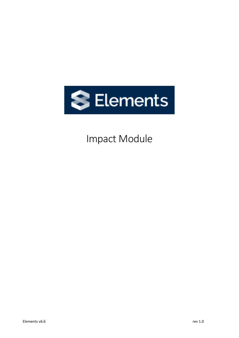

# Impact Module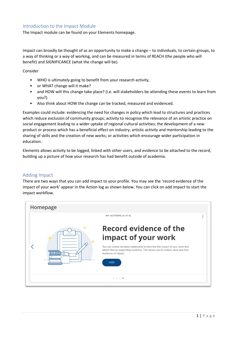## Introduction to the Impact Module

The Impact module can be found on your Elements homepage.

Impact can broadly be thought of as an opportunity to make a change – to individuals, to certain groups, to a way of thinking or a way of working, and can be measured in terms of REACH (the people who will benefit) and SIGNIFICANCE (what the change will be).

Consider

- WHO is ultimately going to benefit from your research activity,
- or WHAT change will it make?
- and HOW will this change take place? (i.e. will stakeholders be attending these events to learn from you?).
- Also think about HOW the change can be tracked, measured and evidenced.

Examples could include: evidencing the need for changes in policy which lead to structures and practices which reduce exclusion of community groups; activity to recognise the relevance of an artistic practice on social engagement leading to a wider uptake of regional cultural activities; the development of a new product or process which has a beneficial effect on industry; artistic activity and mentorship leading to the sharing of skills and the creation of new works; or activities which encourage wider participation in education.

Elements allows activity to be logged, linked with other users, and evidence to be attached to the record, building up a picture of how your research has had benefit outside of academia.

### Adding Impact

There are two ways that you can add impact to your profile. You may see the 'record evidence of the impact of your work' appear in the Action log as shown below. You can click on add impact to start the impact workflow.

| Homepage |                                                                                                                                                                                                                                                                                                                                                                                                                                                                                                                                                                                                                                                                                                                                                                     |  |
|----------|---------------------------------------------------------------------------------------------------------------------------------------------------------------------------------------------------------------------------------------------------------------------------------------------------------------------------------------------------------------------------------------------------------------------------------------------------------------------------------------------------------------------------------------------------------------------------------------------------------------------------------------------------------------------------------------------------------------------------------------------------------------------|--|
|          | MY ACTIONS (4 of 4)<br>Record evidence of the<br>impact of your work<br>You can create narrative statements to describe the impact of your work and<br>attach files as supporting evidence. This allows you to collect, store and find<br>evidence of impact.<br><b>ADD</b><br>$\frac{1}{2} \left( \frac{1}{2} \right) \left( \frac{1}{2} \right) \left( \frac{1}{2} \right) \left( \frac{1}{2} \right) \left( \frac{1}{2} \right) \left( \frac{1}{2} \right) \left( \frac{1}{2} \right) \left( \frac{1}{2} \right) \left( \frac{1}{2} \right) \left( \frac{1}{2} \right) \left( \frac{1}{2} \right) \left( \frac{1}{2} \right) \left( \frac{1}{2} \right) \left( \frac{1}{2} \right) \left( \frac{1}{2} \right) \left( \frac{1}{2} \right) \left( \frac$<br>$\sim$ |  |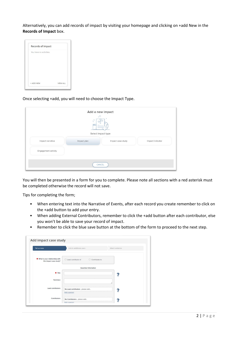Alternatively, you can add records of impact by visiting your homepage and clicking on +add New in the **Records of Impact** box.



#### Once selecting +add, you will need to choose the Impact Type.

|                     | Add a new impact<br>$\overline{C}$<br>$\cdot$ $\circ$ |                   |                  |
|---------------------|-------------------------------------------------------|-------------------|------------------|
|                     | Select impact type                                    |                   |                  |
| Impact narrative    | Impact plan                                           | Impact case study | Impact indicator |
| Engagement activity |                                                       |                   |                  |
|                     | CANCEL                                                |                   |                  |

You will then be presented in a form for you to complete. Please note all sections with a red asterisk must be completed otherwise the record will not save.

Tips for completing the form;

- When entering text into the Narrative of Events, after each record you create remember to click on the +add button to add your entry.
- When adding External Contributors, remember to click the +add button after each contributor, else you won't be able to save your record of impact.
- Remember to click the blue save button at the bottom of the form to proceed to the next step.

| Tell us more                                                | Link to additional users                                                                                                                           | Attach evidence |
|-------------------------------------------------------------|----------------------------------------------------------------------------------------------------------------------------------------------------|-----------------|
|                                                             |                                                                                                                                                    |                 |
| * What is your relationship with<br>this impact case study? | $\Box$ Lead contributor of<br>$\Box$ Contributes to                                                                                                |                 |
|                                                             | <b>Essential Information</b>                                                                                                                       |                 |
| * Title                                                     |                                                                                                                                                    |                 |
| Summary                                                     |                                                                                                                                                    | h               |
| <b>Lead contributors</b>                                    | and an experimental control of the control of the control of the control of the control of the control of the<br>No Lead contributors - please add |                 |
|                                                             | Add a person                                                                                                                                       |                 |
|                                                             |                                                                                                                                                    |                 |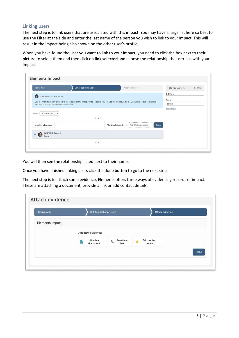## Linking users

The next step is to link users that are associated with this impact. You may have a large list here so best to use the Filter at the side and enter the last name of the person you wish to link to your impact. This will result in the impact being also shown on the other user's profile.

When you have found the user you want to link to your impact, you need to click the box next to their picture to select them and then click on **link selected** and choose the relationship the user has with your impact.

| Tell us more                                                                                                                                                                                      | Link to additional users | Attach evidence                                                     | 1 filter has been set.<br><b>Reset filters</b> |
|---------------------------------------------------------------------------------------------------------------------------------------------------------------------------------------------------|--------------------------|---------------------------------------------------------------------|------------------------------------------------|
| 0<br>Link users to this impact                                                                                                                                                                    |                          |                                                                     | <b>Filters</b>                                 |
|                                                                                                                                                                                                   |                          |                                                                     | Name                                           |
| Use the filters to search for users to associate with this impact. Once selected, you can use the dropdown on the Link Selected button to select<br>which type of relationship should be created. |                          | barfield                                                            |                                                |
|                                                                                                                                                                                                   |                          |                                                                     | <b>Reset filters</b>                           |
| Sort by: Last name (A to Z) $\vee$                                                                                                                                                                |                          |                                                                     |                                                |
|                                                                                                                                                                                                   | $1-1$ of $1$             |                                                                     |                                                |
| Unselect all on page                                                                                                                                                                              |                          | <b>&amp;</b> Link Selected $\vee$ SS Unlink Selected $\vee$<br>Done |                                                |
|                                                                                                                                                                                                   |                          |                                                                     |                                                |

You will then see the relationship listed next to their name.

Once you have finished linking users click the done button to go to the next step.

The next step is to attach some evidence, Elements offers three ways of evidencing records of impact. These are attaching a document, provide a link or add contact details.

| Tell us more           | Link to additional users          | Attach evidence                                    |      |
|------------------------|-----------------------------------|----------------------------------------------------|------|
| <b>Elements Impact</b> |                                   |                                                    |      |
|                        | Add new evidence:                 |                                                    |      |
|                        | Attach a<br><b>PO</b><br>document | <b>Add contact</b><br>Provide a<br>details<br>link |      |
|                        |                                   |                                                    | Done |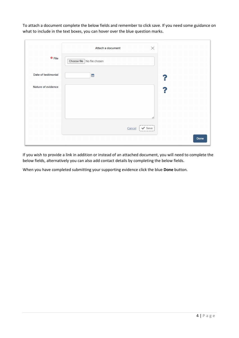To attach a document complete the below fields and remember to click save. If you need some guidance on what to include in the text boxes, you can hover over the blue question marks.

|                     | $\times$<br>Attach a document |      |
|---------------------|-------------------------------|------|
| $*$ File            | Choose file No file chosen    |      |
| Date of testimonial | 曲                             | ?    |
| Nature of evidence  | 4<br>Cancel<br><b>Save</b>    | ?    |
|                     |                               | Done |

If you wish to provide a link in addition or instead of an attached document, you will need to complete the below fields, alternatively you can also add contact details by completing the below fields.

When you have completed submitting your supporting evidence click the blue **Done** button.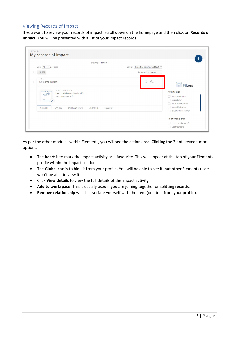## Viewing Records of Impact

If you want to review your records of impact, scroll down on the homepage and then click on **Records of Impact**. You will be presented with a list of your impact records.

|                                                                                  | showing 1 - 1 out of 1                          |                                                                              | $^{+}$                                                                       |
|----------------------------------------------------------------------------------|-------------------------------------------------|------------------------------------------------------------------------------|------------------------------------------------------------------------------|
| view: $10 \times per$ per page<br><b>EXPORT</b>                                  |                                                 | sort by: Reporting date (newest first) v<br>focus on: summary<br>$\check{~}$ |                                                                              |
| o<br>Elements Impact                                                             |                                                 | $\mathbb{Q}_{\scriptscriptstyle\odot}$<br>M<br>$\ddot{\cdot}$                | Filters<br>×                                                                 |
| <b>IMPACT CASE STUDY</b><br>Lead contributors: Machold S<br>Reporting Dates: - C |                                                 |                                                                              | <b>Activity type</b><br>Impact narrative<br>Impact plan<br>Impact case study |
| <b>SUMMARY</b><br>LABELS (0)                                                     | RELATIONSHIPS (2)<br>SOURCES (1)<br>HISTORY (2) |                                                                              | Impact indicator<br>Engagement activity                                      |
|                                                                                  |                                                 |                                                                              |                                                                              |

As per the other modules within Elements, you will see the action area. Clicking the 3 dots reveals more options.

- The **heart** is to mark the impact activity as a favourite. This will appear at the top of your Elements profile within the Impact section.
- The **Globe** icon is to hide it from your profile. You will be able to see it, but other Elements users won't be able to view it.
- Click **View details** to view the full details of the impact activity.
- **Add to workspace**. This is usually used if you are joining together or splitting records.
- **Remove relationship** will disassociate yourself with the item (delete it from your profile).